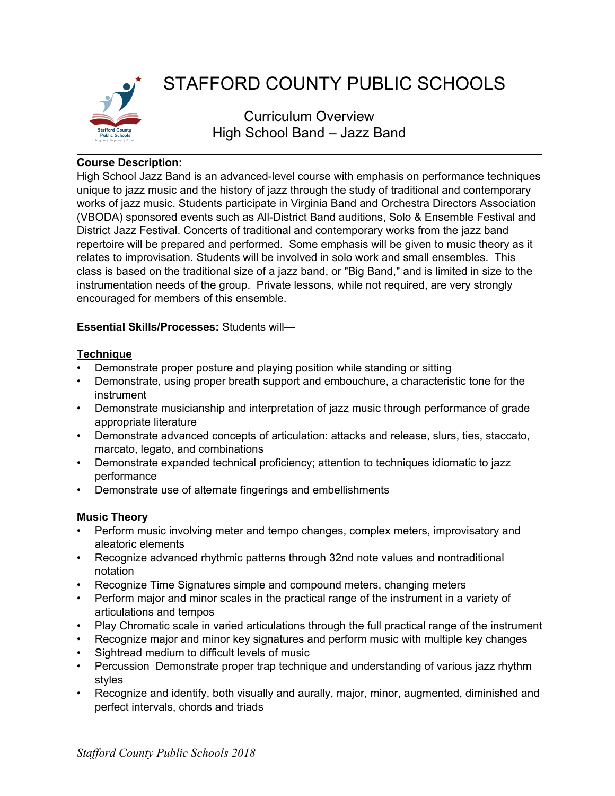

# STAFFORD COUNTY PUBLIC SCHOOLS

Curriculum Overview High School Band – Jazz Band

## **Course Description:**

High School Jazz Band is an advanced-level course with emphasis on performance techniques unique to jazz music and the history of jazz through the study of traditional and contemporary works of jazz music. Students participate in Virginia Band and Orchestra Directors Association (VBODA) sponsored events such as All-District Band auditions, Solo & Ensemble Festival and District Jazz Festival. Concerts of traditional and contemporary works from the jazz band repertoire will be prepared and performed. Some emphasis will be given to music theory as it relates to improvisation. Students will be involved in solo work and small ensembles. This class is based on the traditional size of a jazz band, or "Big Band," and is limited in size to the instrumentation needs of the group. Private lessons, while not required, are very strongly encouraged for members of this ensemble.

## **Essential Skills/Processes:** Students will—

## **Technique**

- Demonstrate proper posture and playing position while standing or sitting
- Demonstrate, using proper breath support and embouchure, a characteristic tone for the instrument
- Demonstrate musicianship and interpretation of jazz music through performance of grade appropriate literature
- Demonstrate advanced concepts of articulation: attacks and release, slurs, ties, staccato, marcato, legato, and combinations
- Demonstrate expanded technical proficiency; attention to techniques idiomatic to jazz performance
- Demonstrate use of alternate fingerings and embellishments

# **Music Theory**

- Perform music involving meter and tempo changes, complex meters, improvisatory and aleatoric elements
- Recognize advanced rhythmic patterns through 32nd note values and nontraditional notation
- Recognize Time Signatures simple and compound meters, changing meters
- Perform major and minor scales in the practical range of the instrument in a variety of articulations and tempos
- Play Chromatic scale in varied articulations through the full practical range of the instrument
- Recognize major and minor key signatures and perform music with multiple key changes
- Sightread medium to difficult levels of music
- Percussion Demonstrate proper trap technique and understanding of various jazz rhythm styles
- Recognize and identify, both visually and aurally, major, minor, augmented, diminished and perfect intervals, chords and triads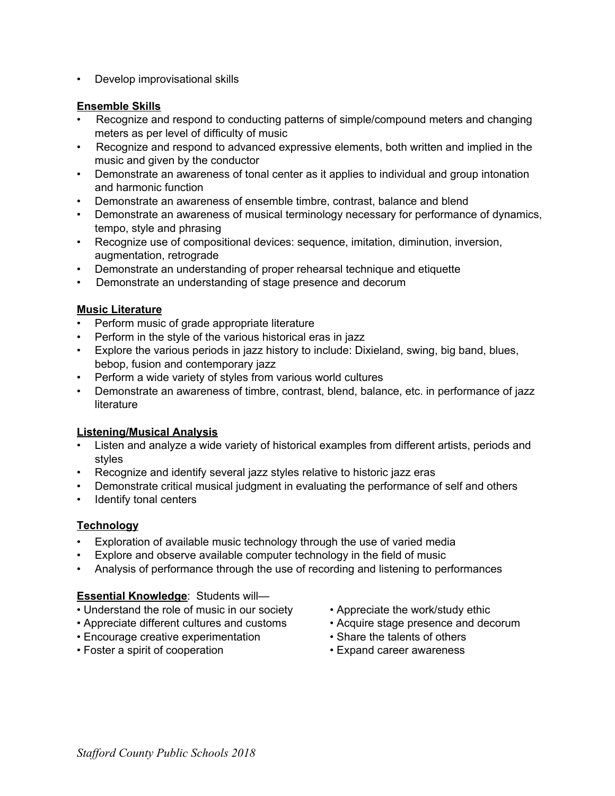• Develop improvisational skills

## **Ensemble Skills**

- Recognize and respond to conducting patterns of simple/compound meters and changing meters as per level of difficulty of music
- Recognize and respond to advanced expressive elements, both written and implied in the music and given by the conductor
- Demonstrate an awareness of tonal center as it applies to individual and group intonation and harmonic function
- Demonstrate an awareness of ensemble timbre, contrast, balance and blend
- Demonstrate an awareness of musical terminology necessary for performance of dynamics, tempo, style and phrasing
- Recognize use of compositional devices: sequence, imitation, diminution, inversion, augmentation, retrograde
- Demonstrate an understanding of proper rehearsal technique and etiquette
- Demonstrate an understanding of stage presence and decorum

## **Music Literature**

- Perform music of grade appropriate literature
- Perform in the style of the various historical eras in jazz
- Explore the various periods in jazz history to include: Dixieland, swing, big band, blues, bebop, fusion and contemporary jazz
- Perform a wide variety of styles from various world cultures
- Demonstrate an awareness of timbre, contrast, blend, balance, etc. in performance of jazz literature

#### **Listening/Musical Analysis**

- Listen and analyze a wide variety of historical examples from different artists, periods and styles
- Recognize and identify several jazz styles relative to historic jazz eras
- Demonstrate critical musical judgment in evaluating the performance of self and others
- Identify tonal centers

# **Technology**

- Exploration of available music technology through the use of varied media
- Explore and observe available computer technology in the field of music
- Analysis of performance through the use of recording and listening to performances

# **Essential Knowledge**: Students will—

- Understand the role of music in our society Appreciate the work/study ethic
- Appreciate different cultures and customs Acquire stage presence and decorum
- Encourage creative experimentation Share the talents of others
- Foster a spirit of cooperation Expand career awareness
- 
- 
- 
-